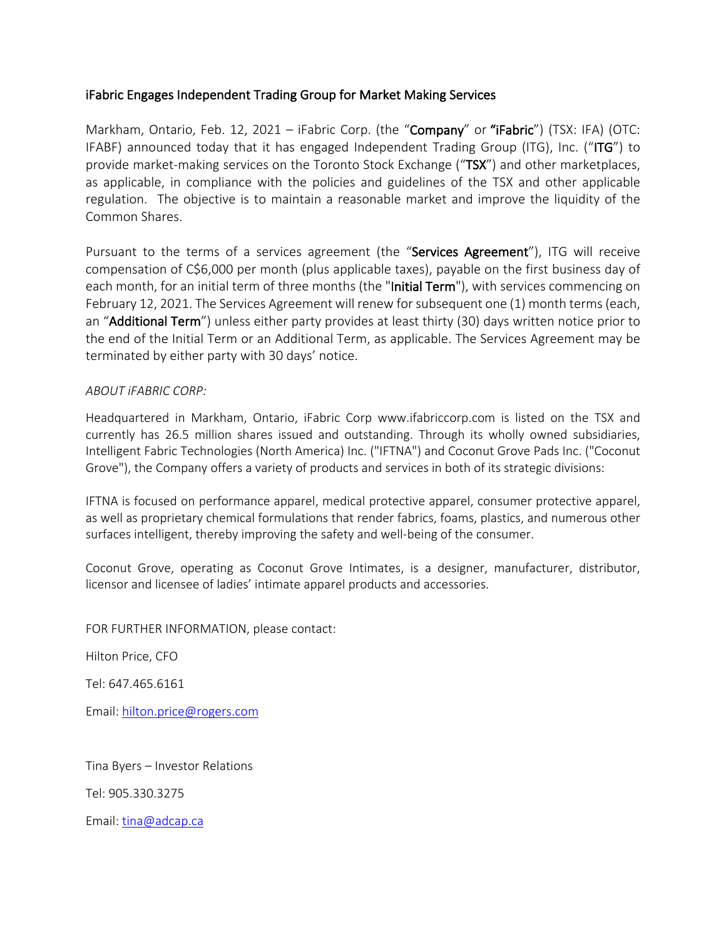## iFabric Engages Independent Trading Group for Market Making Services

Markham, Ontario, Feb. 12, 2021 - iFabric Corp. (the "Company" or "iFabric") (TSX: IFA) (OTC: IFABF) announced today that it has engaged Independent Trading Group (ITG), Inc. ("ITG") to provide market-making services on the Toronto Stock Exchange ("TSX") and other marketplaces, as applicable, in compliance with the policies and guidelines of the TSX and other applicable regulation. The objective is to maintain a reasonable market and improve the liquidity of the Common Shares.

Pursuant to the terms of a services agreement (the "Services Agreement"), ITG will receive compensation of C\$6,000 per month (plus applicable taxes), payable on the first business day of each month, for an initial term of three months (the "Initial Term"), with services commencing on February 12, 2021. The Services Agreement will renew for subsequent one (1) month terms (each, an "Additional Term") unless either party provides at least thirty (30) days written notice prior to the end of the Initial Term or an Additional Term, as applicable. The Services Agreement may be terminated by either party with 30 days' notice.

## *ABOUT iFABRIC CORP:*

Headquartered in Markham, Ontario, iFabric Corp www.ifabriccorp.com is listed on the TSX and currently has 26.5 million shares issued and outstanding. Through its wholly owned subsidiaries, Intelligent Fabric Technologies (North America) Inc. ("IFTNA") and Coconut Grove Pads Inc. ("Coconut Grove"), the Company offers a variety of products and services in both of its strategic divisions:

IFTNA is focused on performance apparel, medical protective apparel, consumer protective apparel, as well as proprietary chemical formulations that render fabrics, foams, plastics, and numerous other surfaces intelligent, thereby improving the safety and well-being of the consumer.

Coconut Grove, operating as Coconut Grove Intimates, is a designer, manufacturer, distributor, licensor and licensee of ladies' intimate apparel products and accessories.

FOR FURTHER INFORMATION, please contact:

Hilton Price, CFO

Tel: 647.465.6161

Email: hilton.price@rogers.com

Tina Byers – Investor Relations

Tel: 905.330.3275

Email: tina@adcap.ca